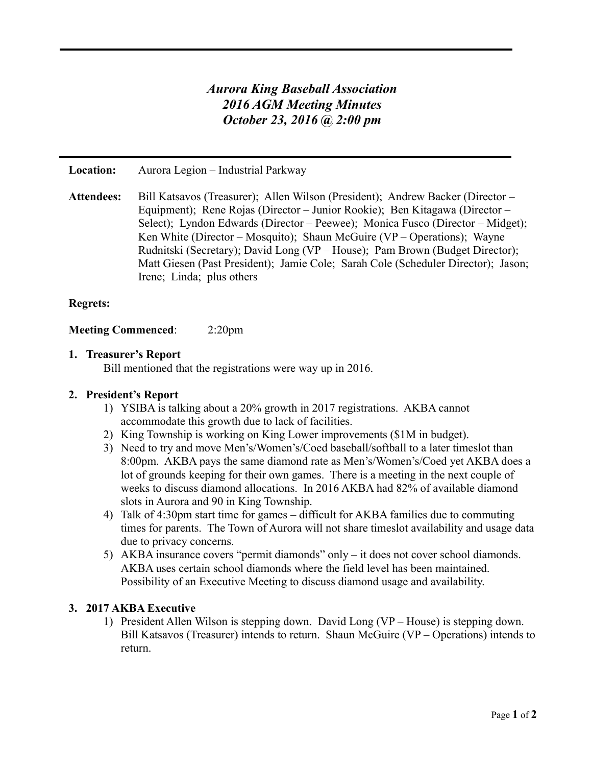# *Aurora King Baseball Association 2016 AGM Meeting Minutes October 23, 2016 @ 2:00 pm*

**Location:** Aurora Legion – Industrial Parkway

**Attendees:** Bill Katsavos (Treasurer); Allen Wilson (President); Andrew Backer (Director – Equipment); Rene Rojas (Director – Junior Rookie); Ben Kitagawa (Director – Select); Lyndon Edwards (Director – Peewee); Monica Fusco (Director – Midget); Ken White (Director – Mosquito); Shaun McGuire (VP – Operations); Wayne Rudnitski (Secretary); David Long (VP – House); Pam Brown (Budget Director); Matt Giesen (Past President); Jamie Cole; Sarah Cole (Scheduler Director); Jason; Irene; Linda; plus others

# **Regrets:**

**Meeting Commenced**: 2:20pm

#### **1. Treasurer's Report**

Bill mentioned that the registrations were way up in 2016.

# **2. President's Report**

- 1) YSIBA is talking about a 20% growth in 2017 registrations. AKBA cannot accommodate this growth due to lack of facilities.
- 2) King Township is working on King Lower improvements (\$1M in budget).
- 3) Need to try and move Men's/Women's/Coed baseball/softball to a later timeslot than 8:00pm. AKBA pays the same diamond rate as Men's/Women's/Coed yet AKBA does a lot of grounds keeping for their own games. There is a meeting in the next couple of weeks to discuss diamond allocations. In 2016 AKBA had 82% of available diamond slots in Aurora and 90 in King Township.
- 4) Talk of 4:30pm start time for games difficult for AKBA families due to commuting times for parents. The Town of Aurora will not share timeslot availability and usage data due to privacy concerns.
- 5) AKBA insurance covers "permit diamonds" only it does not cover school diamonds. AKBA uses certain school diamonds where the field level has been maintained. Possibility of an Executive Meeting to discuss diamond usage and availability.

#### **3. 2017 AKBA Executive**

1) President Allen Wilson is stepping down. David Long (VP – House) is stepping down. Bill Katsavos (Treasurer) intends to return. Shaun McGuire (VP – Operations) intends to return.